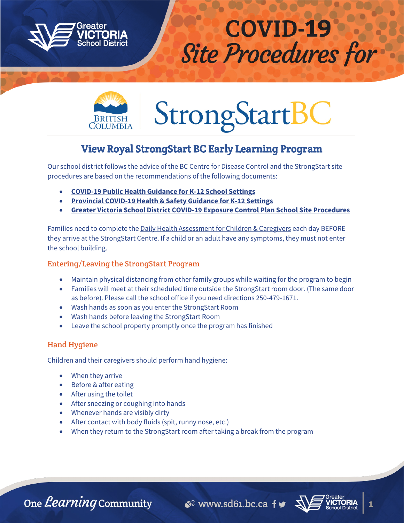



# **StrongStartB**

# View Royal StrongStart BC Early Learning Program

Our school district follows the advice of the BC Centre for Disease Control and the StrongStart site procedures are based on the recommendations of the following documents:

- **[COVID-19 Public Health Guidance for K-12 School Settings](https://www.sd61.bc.ca/wp-content/uploads/sites/91/2020/09/Guidance-k-12-schools-September-11.pdf)**
- **[Provincial COVID-19 Health & Safety Guidance for K-12 Settings](https://www.sd61.bc.ca/wp-content/uploads/sites/91/2020/09/Provincial-COVID-19-Health-Safety-Guidelines-for-K-12-Settings.pdf)**
- **[Greater Victoria School District COVID-19 Exposure Control Plan School Site Procedures](https://www.sd61.bc.ca/wp-content/uploads/sites/91/2020/09/GVSD61_Covid19ExposureControlPlan_SchoolSites_20200922.pdf)**

Families need to complete the [Daily Health Assessment for Children & Caregivers](https://www.sd61.bc.ca/wp-content/uploads/sites/91/2020/09/GVSD61_DailyHealthChecklist_20200922_Final.pdf) each day BEFORE they arrive at the StrongStart Centre. If a child or an adult have any symptoms, they must not enter the school building.

# Entering/Leaving the StrongStart Program

- Maintain physical distancing from other family groups while waiting for the program to begin
- Families will meet at their scheduled time outside the StrongStart room door. (The same door as before). Please call the school office if you need directions 250-479-1671.
- Wash hands as soon as you enter the StrongStart Room
- Wash hands before leaving the StrongStart Room
- Leave the school property promptly once the program has finished

## Hand Hygiene

Children and their caregivers should perform hand hygiene:

- When they arrive
- Before & after eating
- After using the toilet
- After sneezing or coughing into hands
- Whenever hands are visibly dirty
- After contact with body fluids (spit, runny nose, etc.)
- When they return to the StrongStart room after taking a break from the program

One *Learning* Community

 $\bullet$  www.sd61.bc.ca fy